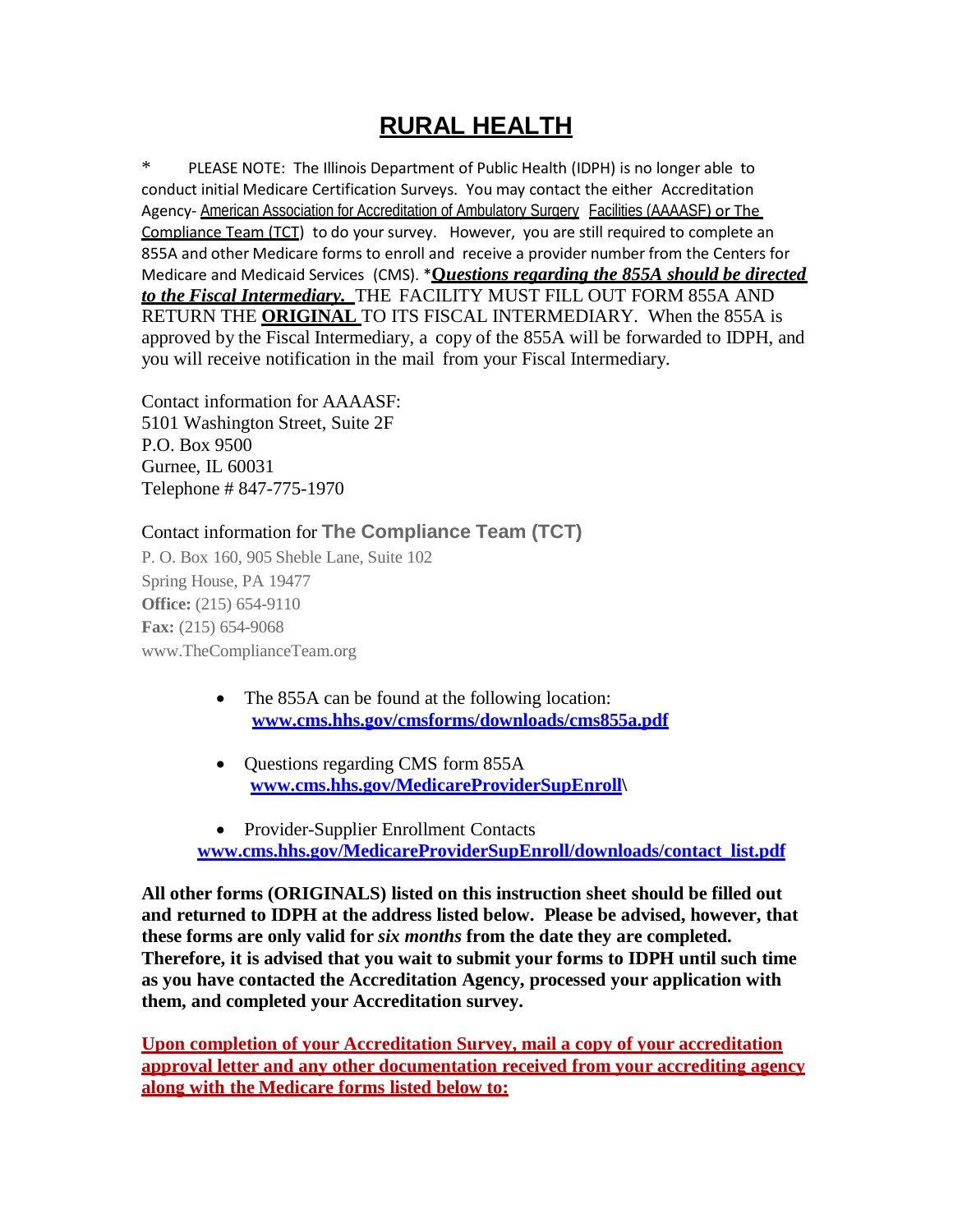# **RURAL HEALTH**

\* PLEASE NOTE: The Illinois Department of Public Health (IDPH) is no longer able to conduct initial Medicare Certification Surveys. You may contact the either Accreditation Agency- American Association for Accreditation of Ambulatory Surgery Facilities (AAAASF) or The Compliance Team (TCT) to do your survey. However, you are still required to complete an 855A and other Medicare forms to enroll and receive a provider number from the Centers for Medicare and Medicaid Services (CMS). \***Q***uestions regarding the 855A should be directed to the Fiscal Intermediary.* THE FACILITY MUST FILL OUT FORM 855A AND RETURN THE **ORIGINAL** TO ITS FISCAL INTERMEDIARY. When the 855A is approved by the Fiscal Intermediary, a copy of the 855A will be forwarded to IDPH, and you will receive notification in the mail from your Fiscal Intermediary.

Contact information for AAAASF: 5101 Washington Street, Suite 2F P.O. Box 9500 Gurnee, IL 60031 Telephone # 847-775-1970

Contact information for **The Compliance Team (TCT)**

P. O. Box 160, 905 Sheble Lane, Suite 102 Spring House, PA 19477 **Office:** (215) 654-9110 **Fax:** (215) 654-9068 [www.TheComplianceTeam.org](http://www.thecomplianceteam.org/)

- The 855A can be found at the following location: **[www.cms.hhs.gov/cmsforms/downloads/cms855a.pdf](http://www.cms.hhs.gov/cmsforms/downloads/cms855a.pdf)**
- Questions regarding CMS form 855A **[www.cms.hhs.gov/MedicareProviderSupEnroll\](http://www.cms.hhs.gov/MedicareProviderSupEnroll)**
- Provider-Supplier Enrollment Contacts **[www.cms.hhs.gov/MedicareProviderSupEnroll/downloads/contact\\_list.pdf](http://www.cms.hhs.gov/MedicareProviderSupEnroll/downloads/contact_list.pdf)**

**All other forms (ORIGINALS) listed on this instruction sheet should be filled out and returned to IDPH at the address listed below. Please be advised, however, that these forms are only valid for** *six months* **from the date they are completed. Therefore, it is advised that you wait to submit your forms to IDPH until such time as you have contacted the Accreditation Agency, processed your application with them, and completed your Accreditation survey.**

**Upon completion of your Accreditation Survey, mail a copy of your accreditation approval letter and any other documentation received from your accrediting agency along with the Medicare forms listed below to:**